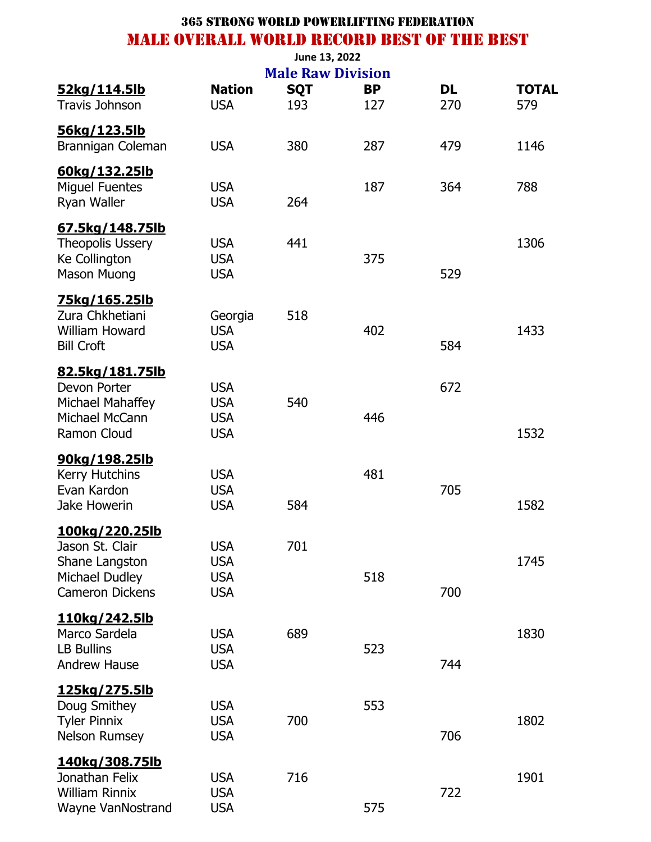|                                            |                          | <b>Male Raw Division</b> |           |     |              |
|--------------------------------------------|--------------------------|--------------------------|-----------|-----|--------------|
| 52kg/114.5lb                               | <b>Nation</b>            | <b>SQT</b>               | <b>BP</b> | DL  | <b>TOTAL</b> |
| <b>Travis Johnson</b>                      | <b>USA</b>               | 193                      | 127       | 270 | 579          |
| 56kg/123.5lb                               |                          |                          |           |     |              |
| Brannigan Coleman                          | <b>USA</b>               | 380                      | 287       | 479 | 1146         |
| 60kg/132.25lb                              |                          |                          |           |     |              |
| <b>Miguel Fuentes</b>                      | <b>USA</b>               |                          | 187       | 364 | 788          |
| Ryan Waller                                | <b>USA</b>               | 264                      |           |     |              |
| 67.5kg/148.75lb                            |                          |                          |           |     |              |
| Theopolis Ussery                           | <b>USA</b>               | 441                      |           |     | 1306         |
| Ke Collington                              | <b>USA</b>               |                          | 375       |     |              |
| <b>Mason Muong</b>                         | <b>USA</b>               |                          |           | 529 |              |
| <u>75kg/165.25lb</u>                       |                          |                          |           |     |              |
| Zura Chkhetiani                            | Georgia                  | 518                      |           |     |              |
| <b>William Howard</b><br><b>Bill Croft</b> | <b>USA</b><br><b>USA</b> |                          | 402       | 584 | 1433         |
|                                            |                          |                          |           |     |              |
| 82.5kg/181.75lb<br>Devon Porter            | <b>USA</b>               |                          |           | 672 |              |
| Michael Mahaffey                           | <b>USA</b>               | 540                      |           |     |              |
| Michael McCann                             | <b>USA</b>               |                          | 446       |     |              |
| Ramon Cloud                                | <b>USA</b>               |                          |           |     | 1532         |
| 90kg/198.25lb                              |                          |                          |           |     |              |
| <b>Kerry Hutchins</b>                      | <b>USA</b>               |                          | 481       |     |              |
| Evan Kardon                                | <b>USA</b>               |                          |           | 705 |              |
| Jake Howerin                               | <b>USA</b>               | 584                      |           |     | 1582         |
| 100kg/220.25lb                             |                          |                          |           |     |              |
| Jason St. Clair                            | <b>USA</b>               | 701                      |           |     |              |
| Shane Langston                             | <b>USA</b>               |                          |           |     | 1745         |
| Michael Dudley                             | <b>USA</b>               |                          | 518       |     |              |
| <b>Cameron Dickens</b>                     | <b>USA</b>               |                          |           | 700 |              |
| 110kg/242.5lb                              |                          |                          |           |     |              |
| Marco Sardela<br><b>LB Bullins</b>         | <b>USA</b><br><b>USA</b> | 689                      | 523       |     | 1830         |
| <b>Andrew Hause</b>                        | <b>USA</b>               |                          |           | 744 |              |
|                                            |                          |                          |           |     |              |
| <u>125kg/275.5lb</u><br>Doug Smithey       | <b>USA</b>               |                          | 553       |     |              |
| <b>Tyler Pinnix</b>                        | <b>USA</b>               | 700                      |           |     | 1802         |
| <b>Nelson Rumsey</b>                       | <b>USA</b>               |                          |           | 706 |              |
| <u>140kg/308.75lb</u>                      |                          |                          |           |     |              |
| Jonathan Felix                             | <b>USA</b>               | 716                      |           |     | 1901         |
| <b>William Rinnix</b>                      | <b>USA</b>               |                          |           | 722 |              |
| Wayne VanNostrand                          | <b>USA</b>               |                          | 575       |     |              |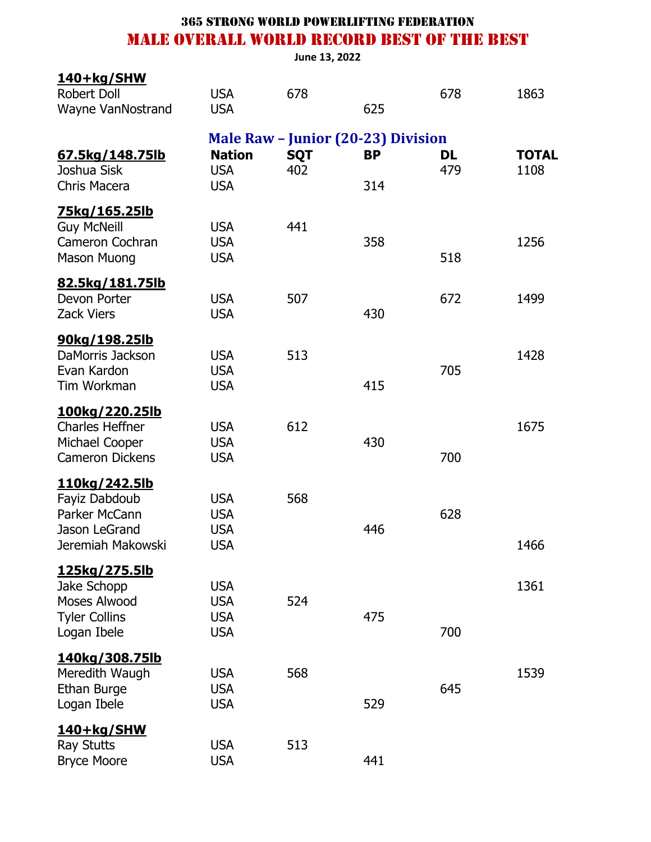**June 13, 2022**

| <u>140+kg/SHW</u><br><b>Robert Doll</b><br><b>Wayne VanNostrand</b>                          | <b>USA</b><br><b>USA</b>                             | 678               | 625                                                           | 678              | 1863                 |
|----------------------------------------------------------------------------------------------|------------------------------------------------------|-------------------|---------------------------------------------------------------|------------------|----------------------|
| 67.5kg/148.75lb<br>Joshua Sisk<br>Chris Macera                                               | <b>Nation</b><br><b>USA</b><br><b>USA</b>            | <b>SQT</b><br>402 | <b>Male Raw - Junior (20-23) Division</b><br><b>BP</b><br>314 | <b>DL</b><br>479 | <b>TOTAL</b><br>1108 |
| <u>75kg/165.25lb</u><br><b>Guy McNeill</b><br>Cameron Cochran<br><b>Mason Muong</b>          | <b>USA</b><br><b>USA</b><br><b>USA</b>               | 441               | 358                                                           | 518              | 1256                 |
| <u>82.5kg/181.75lb</u><br>Devon Porter<br><b>Zack Viers</b>                                  | <b>USA</b><br><b>USA</b>                             | 507               | 430                                                           | 672              | 1499                 |
| 90kg/198.25lb<br>DaMorris Jackson<br>Evan Kardon<br>Tim Workman                              | <b>USA</b><br><b>USA</b><br><b>USA</b>               | 513               | 415                                                           | 705              | 1428                 |
| <u>100kg/220.25lb</u><br><b>Charles Heffner</b><br>Michael Cooper<br><b>Cameron Dickens</b>  | <b>USA</b><br><b>USA</b><br><b>USA</b>               | 612               | 430                                                           | 700              | 1675                 |
| <u>110kg/242.5lb</u><br>Fayiz Dabdoub<br>Parker McCann<br>Jason LeGrand<br>Jeremiah Makowski | <b>USA</b><br><b>USA</b><br><b>USA</b><br><b>USA</b> | 568               | 446                                                           | 628              | 1466                 |
| 125kg/275.5lb<br>Jake Schopp<br>Moses Alwood<br><b>Tyler Collins</b><br>Logan Ibele          | <b>USA</b><br><b>USA</b><br><b>USA</b><br><b>USA</b> | 524               | 475                                                           | 700              | 1361                 |
| 140kg/308.75lb<br>Meredith Waugh<br>Ethan Burge<br>Logan Ibele                               | <b>USA</b><br><b>USA</b><br><b>USA</b>               | 568               | 529                                                           | 645              | 1539                 |
| <u>140+kg/SHW</u><br><b>Ray Stutts</b><br><b>Bryce Moore</b>                                 | <b>USA</b><br><b>USA</b>                             | 513               | 441                                                           |                  |                      |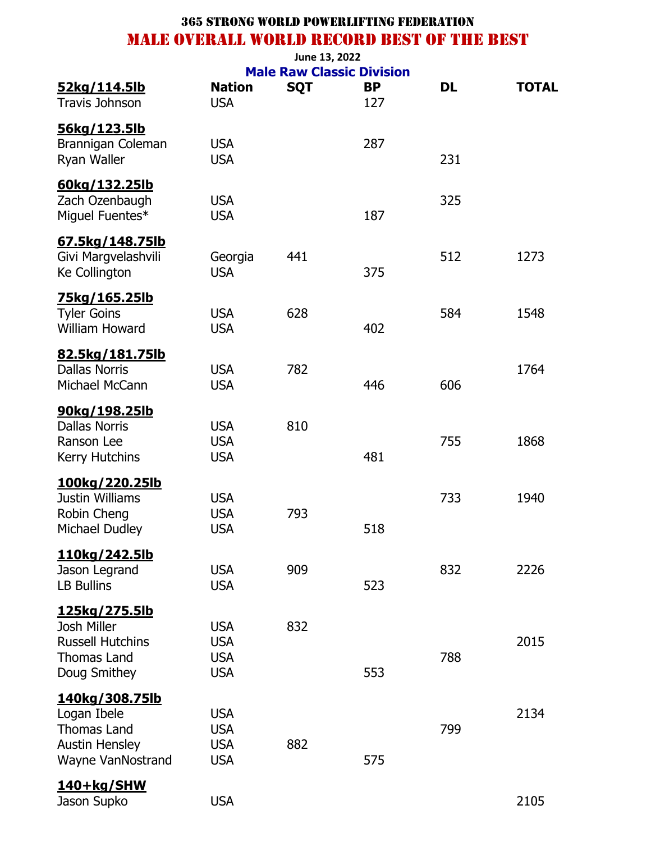| 52kg/114.5lb                                  | <b>Nation</b>            | <b>SQT</b> | <b>Male Raw Classic Division</b><br><b>BP</b> | DL  | <b>TOTAL</b> |
|-----------------------------------------------|--------------------------|------------|-----------------------------------------------|-----|--------------|
| <b>Travis Johnson</b>                         | <b>USA</b>               |            | 127                                           |     |              |
| <u>56kg/123.5lb</u>                           |                          |            |                                               |     |              |
| Brannigan Coleman                             | <b>USA</b>               |            | 287                                           |     |              |
| Ryan Waller                                   | <b>USA</b>               |            |                                               | 231 |              |
| 60kg/132.25lb                                 |                          |            |                                               |     |              |
| Zach Ozenbaugh                                | <b>USA</b>               |            |                                               | 325 |              |
| Miguel Fuentes*                               | <b>USA</b>               |            | 187                                           |     |              |
| 67.5kg/148.75lb                               |                          |            |                                               |     |              |
| Givi Margvelashvili                           | Georgia                  | 441        |                                               | 512 | 1273         |
| Ke Collington                                 | <b>USA</b>               |            | 375                                           |     |              |
|                                               |                          |            |                                               |     |              |
| <u>75kg/165.25lb</u><br><b>Tyler Goins</b>    | <b>USA</b>               | 628        |                                               | 584 | 1548         |
| <b>William Howard</b>                         | <b>USA</b>               |            | 402                                           |     |              |
| 82.5kg/181.75lb                               |                          |            |                                               |     |              |
| <b>Dallas Norris</b>                          | <b>USA</b>               | 782        |                                               |     | 1764         |
| Michael McCann                                | <b>USA</b>               |            | 446                                           | 606 |              |
| 90kg/198.25lb                                 |                          |            |                                               |     |              |
| <b>Dallas Norris</b>                          | <b>USA</b>               | 810        |                                               |     |              |
| Ranson Lee                                    | <b>USA</b>               |            |                                               | 755 | 1868         |
| <b>Kerry Hutchins</b>                         | <b>USA</b>               |            | 481                                           |     |              |
| 100kg/220.25lb                                |                          |            |                                               |     |              |
| <b>Justin Williams</b>                        | <b>USA</b>               |            |                                               | 733 | 1940         |
| Robin Cheng                                   | <b>USA</b>               | 793        |                                               |     |              |
| Michael Dudley                                | <b>USA</b>               |            | 518                                           |     |              |
| 110kg/242.5lb                                 |                          |            |                                               |     |              |
| Jason Legrand                                 | <b>USA</b>               | 909        |                                               | 832 | 2226         |
| <b>LB Bullins</b>                             | <b>USA</b>               |            | 523                                           |     |              |
| 125kg/275.5lb                                 |                          |            |                                               |     |              |
| Josh Miller                                   | <b>USA</b>               | 832        |                                               |     |              |
| <b>Russell Hutchins</b><br><b>Thomas Land</b> | <b>USA</b><br><b>USA</b> |            |                                               | 788 | 2015         |
| Doug Smithey                                  | <b>USA</b>               |            | 553                                           |     |              |
|                                               |                          |            |                                               |     |              |
| 140kg/308.75lb<br>Logan Ibele                 | <b>USA</b>               |            |                                               |     | 2134         |
| <b>Thomas Land</b>                            | <b>USA</b>               |            |                                               | 799 |              |
| <b>Austin Hensley</b>                         | <b>USA</b>               | 882        |                                               |     |              |
| Wayne VanNostrand                             | <b>USA</b>               |            | 575                                           |     |              |
| 140+kg/SHW                                    |                          |            |                                               |     |              |
| Jason Supko                                   | <b>USA</b>               |            |                                               |     | 2105         |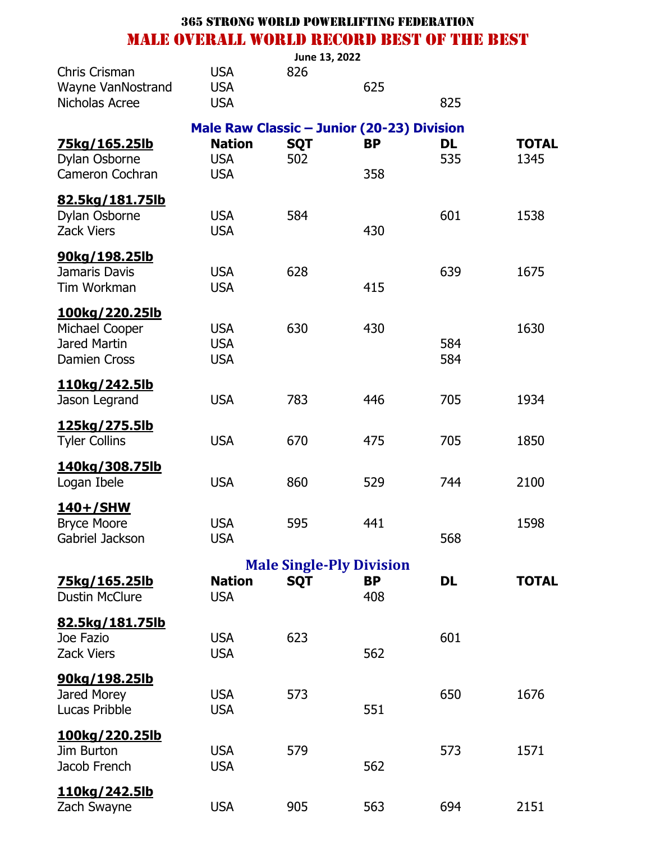|                                                                         |                                                                                         | June 13, 2022     |                                 |                  |                      |
|-------------------------------------------------------------------------|-----------------------------------------------------------------------------------------|-------------------|---------------------------------|------------------|----------------------|
| Chris Crisman<br>Wayne VanNostrand<br>Nicholas Acree                    | <b>USA</b><br><b>USA</b><br><b>USA</b>                                                  | 826               | 625                             | 825              |                      |
| <u>75kg/165.25lb</u><br>Dylan Osborne<br><b>Cameron Cochran</b>         | Male Raw Classic - Junior (20-23) Division<br><b>Nation</b><br><b>USA</b><br><b>USA</b> | <b>SQT</b><br>502 | <b>BP</b><br>358                | <b>DL</b><br>535 | <b>TOTAL</b><br>1345 |
| 82.5kg/181.75lb<br>Dylan Osborne<br><b>Zack Viers</b>                   | <b>USA</b><br><b>USA</b>                                                                | 584               | 430                             | 601              | 1538                 |
| <u>90kg/198.25lb</u><br>Jamaris Davis<br>Tim Workman                    | <b>USA</b><br><b>USA</b>                                                                | 628               | 415                             | 639              | 1675                 |
| 100kg/220.25lb<br>Michael Cooper<br>Jared Martin<br><b>Damien Cross</b> | <b>USA</b><br><b>USA</b><br><b>USA</b>                                                  | 630               | 430                             | 584<br>584       | 1630                 |
| <u>110kg/242.5lb</u><br>Jason Legrand                                   | <b>USA</b>                                                                              | 783               | 446                             | 705              | 1934                 |
| <u>125kg/275.5lb</u><br><b>Tyler Collins</b>                            | <b>USA</b>                                                                              | 670               | 475                             | 705              | 1850                 |
| 140kg/308.75lb<br>Logan Ibele                                           | <b>USA</b>                                                                              | 860               | 529                             | 744              | 2100                 |
| <u>140+/SHW</u><br><b>Bryce Moore</b><br>Gabriel Jackson                | <b>USA</b><br><b>USA</b>                                                                | 595               | 441                             | 568              | 1598                 |
|                                                                         |                                                                                         |                   | <b>Male Single-Ply Division</b> |                  |                      |
| <u>75kg/165.25lb</u><br><b>Dustin McClure</b>                           | <b>Nation</b><br><b>USA</b>                                                             | <b>SQT</b>        | <b>BP</b><br>408                | <b>DL</b>        | <b>TOTAL</b>         |
| 82.5kg/181.75lb<br>Joe Fazio<br><b>Zack Viers</b>                       | <b>USA</b><br><b>USA</b>                                                                | 623               | 562                             | 601              |                      |
| 90kg/198.25lb<br>Jared Morey<br>Lucas Pribble                           | <b>USA</b><br><b>USA</b>                                                                | 573               | 551                             | 650              | 1676                 |
| <u>100kg/220.25lb</u><br>Jim Burton<br>Jacob French                     | <b>USA</b><br><b>USA</b>                                                                | 579               | 562                             | 573              | 1571                 |
| 110kg/242.5lb<br>Zach Swayne                                            | <b>USA</b>                                                                              | 905               | 563                             | 694              | 2151                 |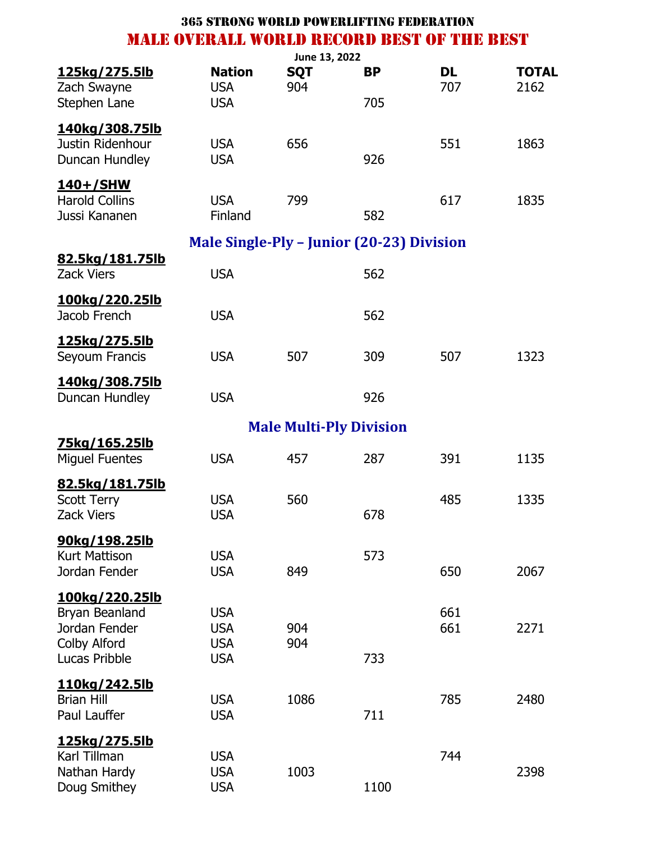|                                                           |                                                  | June 13, 2022     |                                |                  |                      |
|-----------------------------------------------------------|--------------------------------------------------|-------------------|--------------------------------|------------------|----------------------|
| <u>125kg/275.5lb</u><br>Zach Swayne                       | <b>Nation</b><br><b>USA</b>                      | <b>SQT</b><br>904 | <b>BP</b>                      | <b>DL</b><br>707 | <b>TOTAL</b><br>2162 |
| Stephen Lane                                              | <b>USA</b>                                       |                   | 705                            |                  |                      |
| 140kg/308.75lb<br>Justin Ridenhour<br>Duncan Hundley      | <b>USA</b><br><b>USA</b>                         | 656               | 926                            | 551              | 1863                 |
| <u>140+/SHW</u><br><b>Harold Collins</b><br>Jussi Kananen | <b>USA</b><br>Finland                            | 799               | 582                            | 617              | 1835                 |
|                                                           | <b>Male Single-Ply - Junior (20-23) Division</b> |                   |                                |                  |                      |
| <u>82.5kg/181.75lb</u><br><b>Zack Viers</b>               | <b>USA</b>                                       |                   | 562                            |                  |                      |
| <u>100kg/220.25lb</u><br>Jacob French                     | <b>USA</b>                                       |                   | 562                            |                  |                      |
| <u>125kg/275.5lb</u><br>Seyoum Francis                    | <b>USA</b>                                       | 507               | 309                            | 507              | 1323                 |
| 140kg/308.75lb<br>Duncan Hundley                          | <b>USA</b>                                       |                   | 926                            |                  |                      |
|                                                           |                                                  |                   | <b>Male Multi-Ply Division</b> |                  |                      |
| <u>75kg/165.25lb</u><br><b>Miguel Fuentes</b>             | <b>USA</b>                                       | 457               | 287                            | 391              | 1135                 |
| 82.5kg/181.75lb                                           |                                                  |                   |                                |                  |                      |
| <b>Scott Terry</b>                                        | <b>USA</b>                                       | 560               |                                | 485              | 1335                 |
| <b>Zack Viers</b>                                         | <b>USA</b>                                       |                   | 678                            |                  |                      |
| 90kg/198.25lb                                             |                                                  |                   |                                |                  |                      |
| <b>Kurt Mattison</b>                                      | <b>USA</b>                                       |                   | 573                            |                  |                      |
| Jordan Fender                                             | <b>USA</b>                                       | 849               |                                | 650              | 2067                 |
| <u>100kg/220.25lb</u>                                     |                                                  |                   |                                |                  |                      |
| Bryan Beanland<br>Jordan Fender                           | <b>USA</b><br><b>USA</b>                         | 904               |                                | 661<br>661       | 2271                 |
| Colby Alford                                              | <b>USA</b>                                       | 904               |                                |                  |                      |
| Lucas Pribble                                             | <b>USA</b>                                       |                   | 733                            |                  |                      |
| 110kg/242.5lb                                             |                                                  |                   |                                |                  |                      |
| <b>Brian Hill</b>                                         | <b>USA</b>                                       | 1086              |                                | 785              | 2480                 |
| Paul Lauffer                                              | <b>USA</b>                                       |                   | 711                            |                  |                      |
| <u>125kg/275.5lb</u>                                      |                                                  |                   |                                |                  |                      |
| Karl Tillman                                              | <b>USA</b>                                       |                   |                                | 744              |                      |
| Nathan Hardy                                              | <b>USA</b>                                       | 1003              |                                |                  | 2398                 |
| Doug Smithey                                              | <b>USA</b>                                       |                   | 1100                           |                  |                      |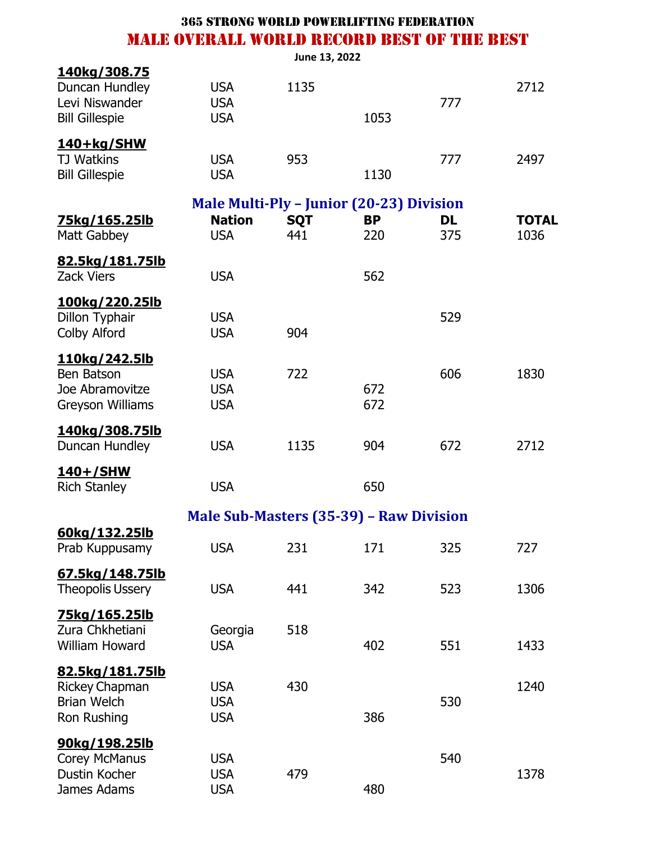|                                                                                      |                                                                                | June 13, 2022     |                  |                  |                      |
|--------------------------------------------------------------------------------------|--------------------------------------------------------------------------------|-------------------|------------------|------------------|----------------------|
| 140kg/308.75<br>Duncan Hundley<br>Levi Niswander<br><b>Bill Gillespie</b>            | <b>USA</b><br><b>USA</b><br><b>USA</b>                                         | 1135              | 1053             | 777              | 2712                 |
| 140+kg/SHW<br><b>TJ Watkins</b><br><b>Bill Gillespie</b>                             | <b>USA</b><br><b>USA</b>                                                       | 953               | 1130             | 777              | 2497                 |
| <u>75kg/165.25lb</u><br>Matt Gabbey                                                  | <b>Male Multi-Ply - Junior (20-23) Division</b><br><b>Nation</b><br><b>USA</b> | <b>SQT</b><br>441 | <b>BP</b><br>220 | <b>DL</b><br>375 | <b>TOTAL</b><br>1036 |
| 82.5kg/181.75lb<br><b>Zack Viers</b>                                                 | <b>USA</b>                                                                     |                   | 562              |                  |                      |
| 100kg/220.25lb<br>Dillon Typhair<br><b>Colby Alford</b>                              | <b>USA</b><br><b>USA</b>                                                       | 904               |                  | 529              |                      |
| <u>110kg/242.5lb</u><br>Ben Batson<br>Joe Abramovitze<br>Greyson Williams            | <b>USA</b><br><b>USA</b><br><b>USA</b>                                         | 722               | 672<br>672       | 606              | 1830                 |
| 140kg/308.75lb<br>Duncan Hundley                                                     | <b>USA</b>                                                                     | 1135              | 904              | 672              | 2712                 |
| 140+/SHW<br><b>Rich Stanley</b>                                                      | <b>USA</b>                                                                     |                   | 650              |                  |                      |
|                                                                                      | <b>Male Sub-Masters (35-39) - Raw Division</b>                                 |                   |                  |                  |                      |
| 60kg/132.25lb<br>Prab Kuppusamy                                                      | <b>USA</b>                                                                     | 231               | 171              | 325              | 727                  |
| 67.5kg/148.75lb<br><b>Theopolis Ussery</b>                                           | <b>USA</b>                                                                     | 441               | 342              | 523              | 1306                 |
| <u>75kg/165.25lb</u><br>Zura Chkhetiani<br><b>William Howard</b>                     | Georgia<br><b>USA</b>                                                          | 518               | 402              | 551              | 1433                 |
| <u>82.5kg/181.75lb</u><br><b>Rickey Chapman</b><br><b>Brian Welch</b><br>Ron Rushing | <b>USA</b><br><b>USA</b><br><b>USA</b>                                         | 430               | 386              | 530              | 1240                 |
| 90kg/198.25lb<br>Corey McManus<br>Dustin Kocher<br>James Adams                       | <b>USA</b><br><b>USA</b><br><b>USA</b>                                         | 479               | 480              | 540              | 1378                 |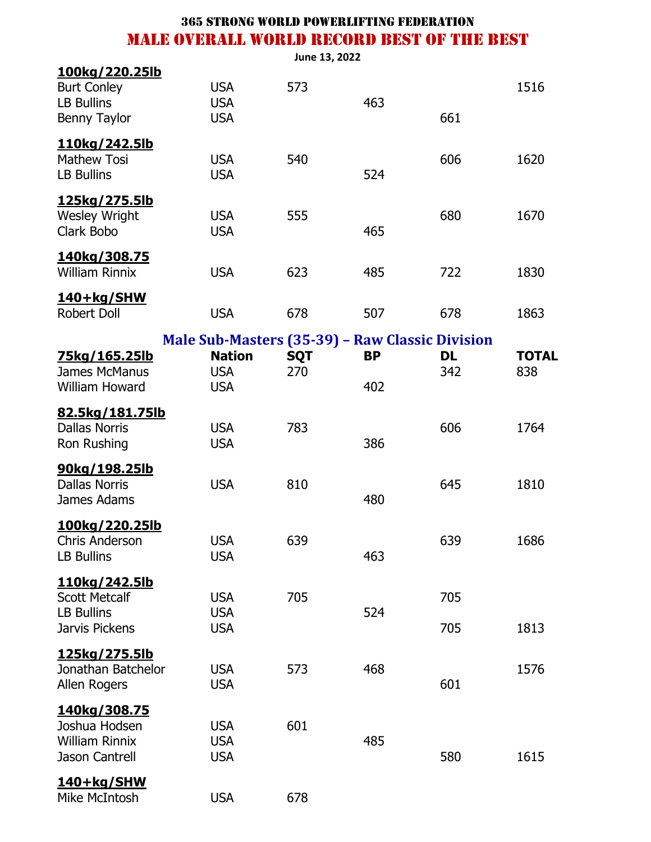|                                                                                         |                                                 | June 13, 2022     |           |                  |                     |
|-----------------------------------------------------------------------------------------|-------------------------------------------------|-------------------|-----------|------------------|---------------------|
| <u>100kg/220.25lb</u><br><b>Burt Conley</b><br><b>LB Bullins</b><br><b>Benny Taylor</b> | <b>USA</b><br><b>USA</b><br><b>USA</b>          | 573               | 463       | 661              | 1516                |
| <u>110kg/242.5lb</u><br><b>Mathew Tosi</b><br><b>LB Bullins</b>                         | <b>USA</b><br><b>USA</b>                        | 540               | 524       | 606              | 1620                |
| 125kg/275.5lb<br><b>Wesley Wright</b><br>Clark Bobo                                     | <b>USA</b><br><b>USA</b>                        | 555               | 465       | 680              | 1670                |
| 140kg/308.75<br><b>William Rinnix</b>                                                   | <b>USA</b>                                      | 623               | 485       | 722              | 1830                |
| 140+kg/SHW<br>Robert Doll                                                               | <b>USA</b>                                      | 678               | 507       | 678              | 1863                |
|                                                                                         | Male Sub-Masters (35-39) - Raw Classic Division |                   |           |                  |                     |
| <u>75kg/165.25lb</u><br>James McManus                                                   | <b>Nation</b><br><b>USA</b>                     | <b>SQT</b><br>270 | <b>BP</b> | <b>DL</b><br>342 | <b>TOTAL</b><br>838 |
| William Howard                                                                          | <b>USA</b>                                      |                   | 402       |                  |                     |
| 82.5kg/181.75lb<br><b>Dallas Norris</b><br>Ron Rushing                                  | <b>USA</b><br><b>USA</b>                        | 783               | 386       | 606              | 1764                |
| 90kg/198.25lb<br><b>Dallas Norris</b><br>James Adams                                    | <b>USA</b>                                      | 810               | 480       | 645              | 1810                |
| 100kg/220.25lb<br><b>Chris Anderson</b><br><b>LB Bullins</b>                            | <b>USA</b><br><b>USA</b>                        | 639               | 463       | 639              | 1686                |
| <u>110kg/242.5lb</u><br><b>Scott Metcalf</b><br><b>LB Bullins</b><br>Jarvis Pickens     | <b>USA</b><br><b>USA</b><br><b>USA</b>          | 705               | 524       | 705<br>705       | 1813                |
| <u>125kg/275.5lb</u><br>Jonathan Batchelor<br>Allen Rogers                              | <b>USA</b><br><b>USA</b>                        | 573               | 468       | 601              | 1576                |
| <u>140kg/308.75</u><br>Joshua Hodsen<br><b>William Rinnix</b><br><b>Jason Cantrell</b>  | <b>USA</b><br><b>USA</b><br><b>USA</b>          | 601               | 485       | 580              | 1615                |
| 140+kg/SHW<br>Mike McIntosh                                                             | <b>USA</b>                                      | 678               |           |                  |                     |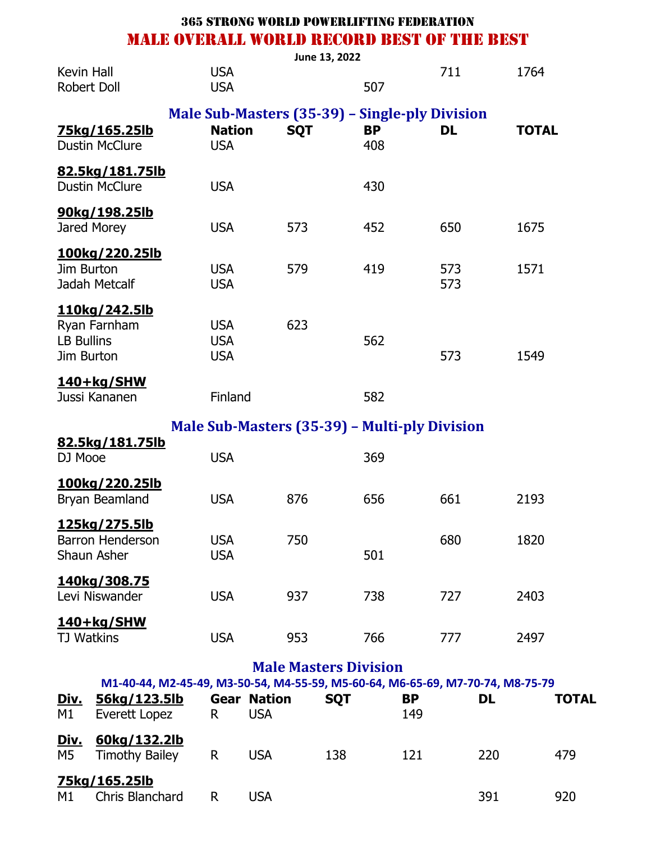|                                                                  |                                                | June 13, 2022 |                  |            |              |
|------------------------------------------------------------------|------------------------------------------------|---------------|------------------|------------|--------------|
| Kevin Hall<br>Robert Doll                                        | <b>USA</b><br><b>USA</b>                       |               | 507              | 711        | 1764         |
|                                                                  | Male Sub-Masters (35-39) – Single-ply Division |               |                  |            |              |
| 75kg/165.25lb<br><b>Dustin McClure</b>                           | <b>Nation</b><br><b>USA</b>                    | <b>SQT</b>    | <b>BP</b><br>408 | <b>DL</b>  | <b>TOTAL</b> |
| 82.5kg/181.75lb<br><b>Dustin McClure</b>                         | <b>USA</b>                                     |               | 430              |            |              |
| <u>90kg/198.25lb</u><br>Jared Morey                              | <b>USA</b>                                     | 573           | 452              | 650        | 1675         |
| <u>100kg/220.25lb</u><br>Jim Burton<br>Jadah Metcalf             | <b>USA</b><br><b>USA</b>                       | 579           | 419              | 573<br>573 | 1571         |
| 110kg/242.5lb<br>Ryan Farnham<br><b>LB Bullins</b><br>Jim Burton | <b>USA</b><br><b>USA</b><br><b>USA</b>         | 623           | 562              | 573        | 1549         |
| 140+kg/SHW<br>Jussi Kananen                                      | Finland                                        |               | 582              |            |              |
|                                                                  | Male Sub-Masters (35-39) – Multi-ply Division  |               |                  |            |              |
| 82.5kg/181.75lb<br>DJ Mooe                                       | <b>USA</b>                                     |               | 369              |            |              |
| <u>100kg/220.25lb</u><br>Bryan Beamland                          | <b>USA</b>                                     | 876           | 656              | 661        | 2193         |
| <u>125kg/275.5lb</u><br><b>Barron Henderson</b><br>Shaun Asher   | <b>USA</b><br><b>USA</b>                       | 750           | 501              | 680        | 1820         |
| 140kg/308.75<br>Levi Niswander                                   | <b>USA</b>                                     | 937           | 738              | 727        | 2403         |
| 140+kg/SHW<br><b>TJ Watkins</b>                                  | <b>USA</b>                                     | 953           | 766              | 777        | 2497         |
|                                                                  |                                                |               |                  |            |              |

#### **Male Masters Division**

| 56kg/123.5lb                          |                 |                                  |            |                  |     |              |
|---------------------------------------|-----------------|----------------------------------|------------|------------------|-----|--------------|
| Everett Lopez                         |                 | <b>Gear Nation</b><br><b>USA</b> | <b>SOT</b> | <b>BP</b><br>149 | DL  | <b>TOTAL</b> |
| 60kg/132.2lb<br><b>Timothy Bailey</b> |                 | <b>USA</b>                       | 138        | 121              | 220 | 479          |
| 75kg/165.25lb                         |                 |                                  |            |                  |     | 920          |
|                                       | Chris Blanchard | R<br>R<br>R                      | USA        |                  |     | 391          |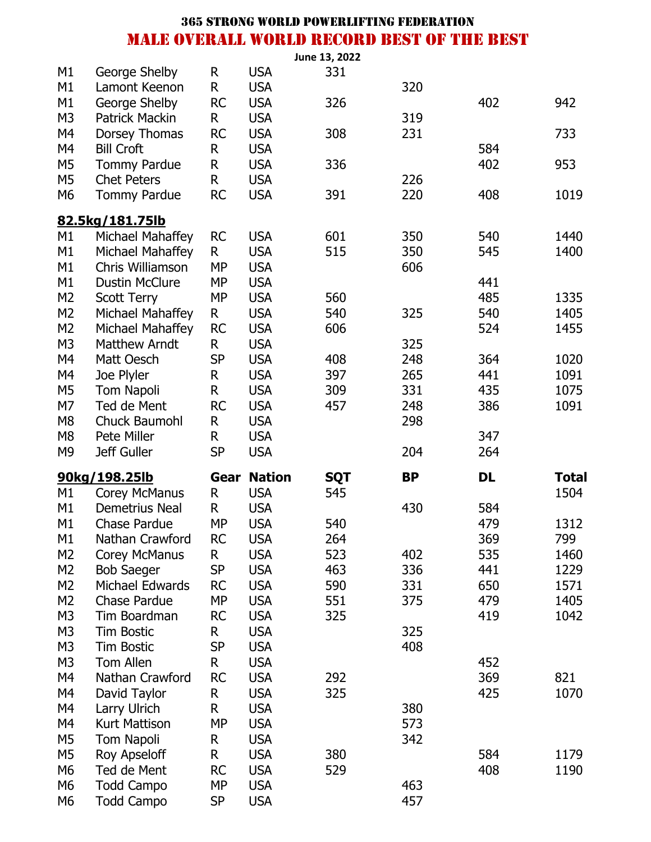|                      |                                        |                           |                          | June 13, 2022 |            |     |              |
|----------------------|----------------------------------------|---------------------------|--------------------------|---------------|------------|-----|--------------|
| M1                   | George Shelby                          | R                         | <b>USA</b>               | 331           |            |     |              |
| M1                   | Lamont Keenon                          | $\mathsf R$               | <b>USA</b>               |               | 320        |     |              |
| M1                   | George Shelby                          | <b>RC</b>                 | <b>USA</b>               | 326           |            | 402 | 942          |
| M <sub>3</sub>       | <b>Patrick Mackin</b>                  | R                         | <b>USA</b>               |               | 319        |     |              |
| M4                   | Dorsey Thomas                          | <b>RC</b>                 | <b>USA</b>               | 308           | 231        |     | 733          |
| M4                   | <b>Bill Croft</b>                      | R                         | <b>USA</b>               |               |            | 584 |              |
| M5                   | <b>Tommy Pardue</b>                    | R                         | <b>USA</b>               | 336           |            | 402 | 953          |
| M <sub>5</sub>       | <b>Chet Peters</b>                     | R                         | <b>USA</b>               |               | 226        |     |              |
| M6                   | <b>Tommy Pardue</b>                    | <b>RC</b>                 | <b>USA</b>               | 391           | 220        | 408 | 1019         |
|                      | <u>82.5kg/181.75lb</u>                 |                           |                          |               |            |     |              |
| M1                   | Michael Mahaffey                       | <b>RC</b>                 | <b>USA</b>               | 601           | 350        | 540 | 1440         |
| M1                   | Michael Mahaffey                       | R.                        | <b>USA</b>               | 515           | 350        | 545 | 1400         |
| M1                   | Chris Williamson                       | <b>MP</b>                 | <b>USA</b>               |               | 606        |     |              |
| M1                   | <b>Dustin McClure</b>                  | <b>MP</b>                 | <b>USA</b>               |               |            | 441 |              |
| M <sub>2</sub>       | <b>Scott Terry</b>                     | <b>MP</b>                 | <b>USA</b>               | 560           |            | 485 | 1335         |
| M <sub>2</sub>       | Michael Mahaffey                       | $\mathsf{R}$              | <b>USA</b>               | 540           | 325        | 540 | 1405         |
| M <sub>2</sub>       | Michael Mahaffey                       | <b>RC</b>                 | <b>USA</b>               | 606           |            | 524 | 1455         |
| M <sub>3</sub>       | <b>Matthew Arndt</b>                   | R                         | <b>USA</b>               |               | 325        |     |              |
| M4                   | Matt Oesch                             | <b>SP</b>                 | <b>USA</b>               | 408           | 248        | 364 | 1020         |
| M4                   | Joe Plyler                             | R                         | <b>USA</b>               | 397           | 265        | 441 | 1091         |
| M <sub>5</sub>       | <b>Tom Napoli</b>                      | R                         | <b>USA</b>               | 309           | 331        | 435 | 1075         |
| M7                   | Ted de Ment                            | <b>RC</b>                 | <b>USA</b>               | 457           | 248        | 386 | 1091         |
| M <sub>8</sub>       | Chuck Baumohl                          | R                         | <b>USA</b>               |               | 298        |     |              |
|                      |                                        |                           |                          |               |            |     |              |
| M <sub>8</sub>       | Pete Miller                            |                           | <b>USA</b>               |               |            | 347 |              |
| M <sub>9</sub>       | Jeff Guller                            | $\mathsf{R}$<br><b>SP</b> | <b>USA</b>               |               | 204        | 264 |              |
|                      |                                        |                           | <b>Gear Nation</b>       | <b>SQT</b>    | <b>BP</b>  | DL  | <b>Total</b> |
| M1                   | 90kg/198.25lb<br><b>Corey McManus</b>  | R                         | <b>USA</b>               | 545           |            |     | 1504         |
| M1                   | <b>Demetrius Neal</b>                  | R                         | <b>USA</b>               |               | 430        | 584 |              |
| M1                   | <b>Chase Pardue</b>                    | MP                        | <b>USA</b>               | 540           |            | 479 | 1312         |
| M1                   | Nathan Crawford                        | <b>RC</b>                 | <b>USA</b>               | 264           |            | 369 | 799          |
| M <sub>2</sub>       | <b>Corey McManus</b>                   | R.                        | <b>USA</b>               | 523           | 402        | 535 | 1460         |
| M <sub>2</sub>       | <b>Bob Saeger</b>                      | <b>SP</b>                 | <b>USA</b>               | 463           | 336        | 441 | 1229         |
| M <sub>2</sub>       | Michael Edwards                        | <b>RC</b>                 | <b>USA</b>               | 590           | 331        | 650 | 1571         |
| M <sub>2</sub>       | <b>Chase Pardue</b>                    | <b>MP</b>                 | <b>USA</b>               | 551           | 375        | 479 | 1405         |
| M3                   | Tim Boardman                           | <b>RC</b>                 | <b>USA</b>               | 325           |            | 419 | 1042         |
| M <sub>3</sub>       | <b>Tim Bostic</b>                      | R.                        | <b>USA</b>               |               | 325        |     |              |
| M3                   | <b>Tim Bostic</b>                      | SP                        | <b>USA</b>               |               | 408        |     |              |
| M3                   | <b>Tom Allen</b>                       | R                         | <b>USA</b>               |               |            | 452 |              |
| M4                   | Nathan Crawford                        | <b>RC</b>                 | <b>USA</b>               | 292           |            | 369 | 821          |
| M4                   | David Taylor                           | R                         | <b>USA</b>               | 325           |            | 425 | 1070         |
| M4                   | Larry Ulrich                           | R                         | <b>USA</b>               |               | 380        |     |              |
| M4                   | <b>Kurt Mattison</b>                   | <b>MP</b>                 | <b>USA</b>               |               | 573        |     |              |
| M <sub>5</sub>       | Tom Napoli                             | R                         | <b>USA</b>               |               | 342        |     |              |
| M <sub>5</sub>       | Roy Apseloff                           | R                         | <b>USA</b>               | 380           |            | 584 | 1179         |
| M6                   | Ted de Ment                            | <b>RC</b>                 | <b>USA</b>               | 529           |            | 408 | 1190         |
| M6<br>M <sub>6</sub> | <b>Todd Campo</b><br><b>Todd Campo</b> | <b>MP</b><br><b>SP</b>    | <b>USA</b><br><b>USA</b> |               | 463<br>457 |     |              |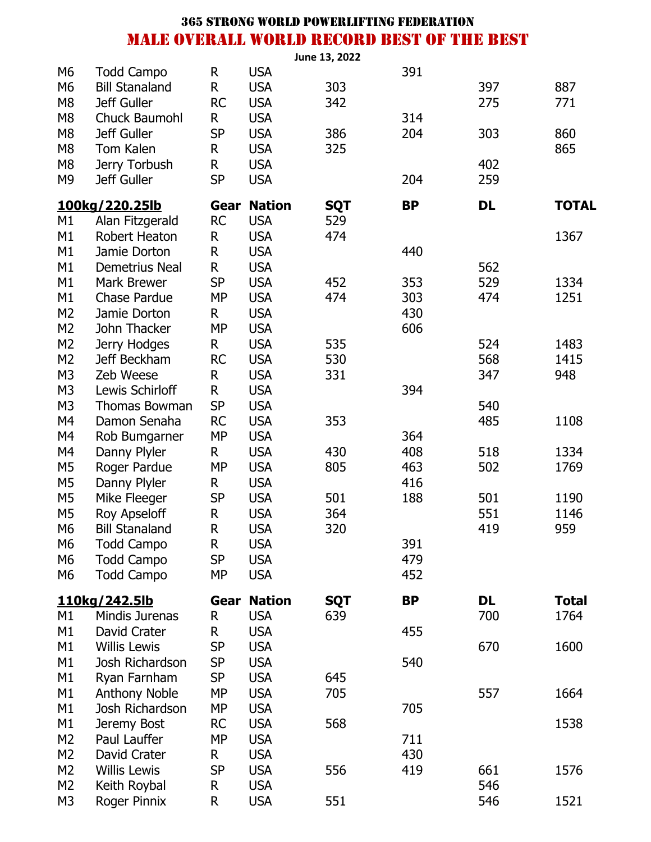|                |                       |              |               | June 13, 2022 |           |           |              |
|----------------|-----------------------|--------------|---------------|---------------|-----------|-----------|--------------|
| M <sub>6</sub> | <b>Todd Campo</b>     | R            | <b>USA</b>    |               | 391       |           |              |
| M <sub>6</sub> | <b>Bill Stanaland</b> | $\mathsf R$  | <b>USA</b>    | 303           |           | 397       | 887          |
| M <sub>8</sub> | Jeff Guller           | <b>RC</b>    | <b>USA</b>    | 342           |           | 275       | 771          |
| M <sub>8</sub> | Chuck Baumohl         | R.           | <b>USA</b>    |               | 314       |           |              |
| M <sub>8</sub> | Jeff Guller           | <b>SP</b>    | <b>USA</b>    | 386           | 204       | 303       | 860          |
| M <sub>8</sub> | Tom Kalen             | $\mathsf{R}$ | <b>USA</b>    | 325           |           |           | 865          |
| M <sub>8</sub> | Jerry Torbush         | $\mathsf R$  | <b>USA</b>    |               |           | 402       |              |
| M <sub>9</sub> | <b>Jeff Guller</b>    | <b>SP</b>    | <b>USA</b>    |               | 204       | 259       |              |
|                |                       |              |               |               |           |           |              |
|                | 100kg/220.25lb        | Gear         | <b>Nation</b> | <b>SQT</b>    | <b>BP</b> | <b>DL</b> | <b>TOTAL</b> |
| M1             | Alan Fitzgerald       | <b>RC</b>    | <b>USA</b>    | 529           |           |           |              |
| M1             | <b>Robert Heaton</b>  | $\mathsf R$  | <b>USA</b>    | 474           |           |           | 1367         |
| M1             | Jamie Dorton          | $\mathsf R$  | <b>USA</b>    |               | 440       |           |              |
| M1             | <b>Demetrius Neal</b> | $\mathsf R$  | <b>USA</b>    |               |           | 562       |              |
| M1             | <b>Mark Brewer</b>    | <b>SP</b>    | <b>USA</b>    | 452           | 353       | 529       | 1334         |
| M1             | <b>Chase Pardue</b>   | <b>MP</b>    | <b>USA</b>    | 474           | 303       | 474       | 1251         |
| M <sub>2</sub> | Jamie Dorton          | R            | <b>USA</b>    |               | 430       |           |              |
| M <sub>2</sub> | John Thacker          | <b>MP</b>    | <b>USA</b>    |               | 606       |           |              |
| M <sub>2</sub> | Jerry Hodges          | R            | <b>USA</b>    | 535           |           | 524       | 1483         |
| M <sub>2</sub> | Jeff Beckham          | <b>RC</b>    | <b>USA</b>    | 530           |           | 568       | 1415         |
| M <sub>3</sub> | Zeb Weese             | $\mathsf R$  | <b>USA</b>    | 331           |           | 347       | 948          |
| M <sub>3</sub> | Lewis Schirloff       | R            | <b>USA</b>    |               | 394       |           |              |
| M <sub>3</sub> | Thomas Bowman         | <b>SP</b>    | <b>USA</b>    |               |           | 540       |              |
| M4             | Damon Senaha          | <b>RC</b>    | <b>USA</b>    | 353           |           | 485       | 1108         |
| M4             | Rob Bumgarner         | <b>MP</b>    | <b>USA</b>    |               | 364       |           |              |
| M4             | Danny Plyler          | $\mathsf{R}$ | <b>USA</b>    | 430           | 408       | 518       | 1334         |
| M <sub>5</sub> | Roger Pardue          | <b>MP</b>    | <b>USA</b>    | 805           | 463       | 502       | 1769         |
| M <sub>5</sub> | Danny Plyler          | R            | <b>USA</b>    |               | 416       |           |              |
| M <sub>5</sub> | Mike Fleeger          | <b>SP</b>    | <b>USA</b>    | 501           | 188       | 501       | 1190         |
| M <sub>5</sub> | Roy Apseloff          | $\mathsf R$  | <b>USA</b>    | 364           |           | 551       | 1146         |
| M <sub>6</sub> | <b>Bill Stanaland</b> | R            | <b>USA</b>    | 320           |           | 419       | 959          |
| M <sub>6</sub> | <b>Todd Campo</b>     | $\mathsf{R}$ | <b>USA</b>    |               | 391       |           |              |
| M <sub>6</sub> | <b>Todd Campo</b>     | <b>SP</b>    | <b>USA</b>    |               | 479       |           |              |
| M <sub>6</sub> | <b>Todd Campo</b>     | <b>MP</b>    | <b>USA</b>    |               | 452       |           |              |
|                | 110kg/242.5lb         | Gear         | <b>Nation</b> | <b>SQT</b>    | <b>BP</b> | <b>DL</b> | <b>Total</b> |
| M1             | Mindis Jurenas        | R            | <b>USA</b>    | 639           |           | 700       | 1764         |
| M1             | David Crater          | R            | <b>USA</b>    |               | 455       |           |              |
| M1             | <b>Willis Lewis</b>   | <b>SP</b>    | <b>USA</b>    |               |           | 670       | 1600         |
| M1             | Josh Richardson       | <b>SP</b>    | <b>USA</b>    |               | 540       |           |              |
| M1             | Ryan Farnham          | <b>SP</b>    | <b>USA</b>    | 645           |           |           |              |
| M1             | <b>Anthony Noble</b>  | <b>MP</b>    | <b>USA</b>    | 705           |           | 557       | 1664         |
| M1             | Josh Richardson       | <b>MP</b>    | <b>USA</b>    |               | 705       |           |              |
| M1             | Jeremy Bost           | <b>RC</b>    | <b>USA</b>    | 568           |           |           | 1538         |
| M <sub>2</sub> | Paul Lauffer          | <b>MP</b>    | <b>USA</b>    |               | 711       |           |              |
| M <sub>2</sub> | David Crater          | R            | <b>USA</b>    |               | 430       |           |              |
| M <sub>2</sub> | <b>Willis Lewis</b>   | <b>SP</b>    | <b>USA</b>    | 556           | 419       | 661       | 1576         |
| M <sub>2</sub> | Keith Roybal          | R            | <b>USA</b>    |               |           | 546       |              |
| M <sub>3</sub> | Roger Pinnix          | R            | <b>USA</b>    | 551           |           | 546       | 1521         |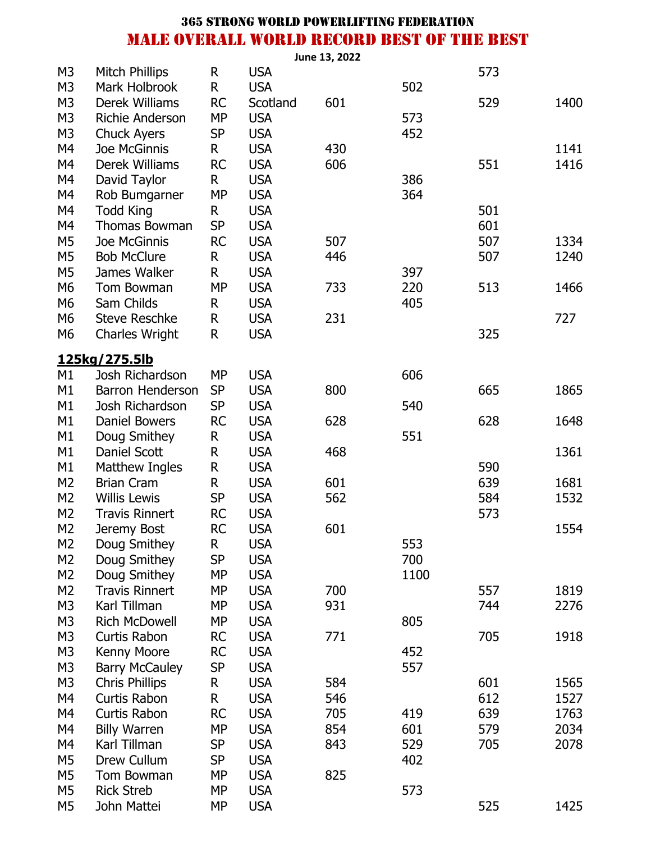|                |                        |           |            | June 13, 2022 |      |     |      |
|----------------|------------------------|-----------|------------|---------------|------|-----|------|
| M <sub>3</sub> | <b>Mitch Phillips</b>  | R         | <b>USA</b> |               |      | 573 |      |
| M <sub>3</sub> | Mark Holbrook          | R         | <b>USA</b> |               | 502  |     |      |
| M <sub>3</sub> | Derek Williams         | <b>RC</b> | Scotland   | 601           |      | 529 | 1400 |
| M <sub>3</sub> | <b>Richie Anderson</b> | <b>MP</b> | <b>USA</b> |               | 573  |     |      |
| M <sub>3</sub> | <b>Chuck Ayers</b>     | <b>SP</b> | <b>USA</b> |               | 452  |     |      |
| M4             | Joe McGinnis           | R         | <b>USA</b> | 430           |      |     | 1141 |
| M4             | Derek Williams         | RC        | <b>USA</b> | 606           |      | 551 | 1416 |
| M4             | David Taylor           | R         | <b>USA</b> |               | 386  |     |      |
| M4             | Rob Bumgarner          | <b>MP</b> | <b>USA</b> |               | 364  |     |      |
| M4             | <b>Todd King</b>       | R         | <b>USA</b> |               |      | 501 |      |
| M4             | Thomas Bowman          | <b>SP</b> | <b>USA</b> |               |      | 601 |      |
| M <sub>5</sub> | Joe McGinnis           | <b>RC</b> | <b>USA</b> | 507           |      | 507 | 1334 |
| M <sub>5</sub> | <b>Bob McClure</b>     | R         | <b>USA</b> | 446           |      | 507 | 1240 |
| M <sub>5</sub> | James Walker           | R         | <b>USA</b> |               | 397  |     |      |
| M <sub>6</sub> | Tom Bowman             | <b>MP</b> | <b>USA</b> | 733           | 220  | 513 | 1466 |
| M <sub>6</sub> | Sam Childs             | R         | <b>USA</b> |               | 405  |     |      |
| M <sub>6</sub> | <b>Steve Reschke</b>   | R         | <b>USA</b> | 231           |      |     | 727  |
| M <sub>6</sub> | <b>Charles Wright</b>  | R         | <b>USA</b> |               |      | 325 |      |
|                |                        |           |            |               |      |     |      |
|                | 125kg/275.5lb          |           |            |               |      |     |      |
| M1             | Josh Richardson        | <b>MP</b> | <b>USA</b> |               | 606  |     |      |
| M1             | Barron Henderson       | <b>SP</b> | <b>USA</b> | 800           |      | 665 | 1865 |
| M1             | Josh Richardson        | <b>SP</b> | <b>USA</b> |               | 540  |     |      |
| M1             | <b>Daniel Bowers</b>   | <b>RC</b> | <b>USA</b> | 628           |      | 628 | 1648 |
| M1             | Doug Smithey           | R         | <b>USA</b> |               | 551  |     |      |
| M1             | Daniel Scott           | R         | <b>USA</b> | 468           |      |     | 1361 |
| M1             | <b>Matthew Ingles</b>  | R         | <b>USA</b> |               |      | 590 |      |
| M <sub>2</sub> | <b>Brian Cram</b>      | R         | <b>USA</b> | 601           |      | 639 | 1681 |
| M <sub>2</sub> | <b>Willis Lewis</b>    | <b>SP</b> | <b>USA</b> | 562           |      | 584 | 1532 |
| M <sub>2</sub> | <b>Travis Rinnert</b>  | <b>RC</b> | <b>USA</b> |               |      | 573 |      |
| M <sub>2</sub> | Jeremy Bost            | <b>RC</b> | <b>USA</b> | 601           |      |     | 1554 |
| M <sub>2</sub> | Doug Smithey           | R         | <b>USA</b> |               | 553  |     |      |
| M <sub>2</sub> | Doug Smithey           | <b>SP</b> | <b>USA</b> |               | 700  |     |      |
| M <sub>2</sub> | Doug Smithey           | <b>MP</b> | <b>USA</b> |               | 1100 |     |      |
| M <sub>2</sub> | <b>Travis Rinnert</b>  | <b>MP</b> | <b>USA</b> | 700           |      | 557 | 1819 |
| M <sub>3</sub> | Karl Tillman           | <b>MP</b> | <b>USA</b> | 931           |      | 744 | 2276 |
| M <sub>3</sub> | <b>Rich McDowell</b>   | <b>MP</b> | <b>USA</b> |               | 805  |     |      |
| M <sub>3</sub> | <b>Curtis Rabon</b>    | <b>RC</b> | <b>USA</b> | 771           |      | 705 | 1918 |
| M <sub>3</sub> | Kenny Moore            | <b>RC</b> | <b>USA</b> |               | 452  |     |      |
| M <sub>3</sub> | <b>Barry McCauley</b>  | <b>SP</b> | <b>USA</b> |               | 557  |     |      |
| M <sub>3</sub> | <b>Chris Phillips</b>  | R         | <b>USA</b> | 584           |      | 601 | 1565 |
| M4             | Curtis Rabon           | R         | <b>USA</b> | 546           |      | 612 | 1527 |
| M4             | Curtis Rabon           | <b>RC</b> | <b>USA</b> | 705           | 419  | 639 | 1763 |
| M4             | <b>Billy Warren</b>    | <b>MP</b> | <b>USA</b> | 854           | 601  | 579 | 2034 |
| M4             | Karl Tillman           | <b>SP</b> | <b>USA</b> | 843           | 529  | 705 | 2078 |
| M <sub>5</sub> | Drew Cullum            | <b>SP</b> | <b>USA</b> |               | 402  |     |      |
| M <sub>5</sub> | Tom Bowman             | <b>MP</b> | <b>USA</b> | 825           |      |     |      |
| M <sub>5</sub> | <b>Rick Streb</b>      | <b>MP</b> | <b>USA</b> |               | 573  |     |      |
| M <sub>5</sub> | John Mattei            | MP        | <b>USA</b> |               |      | 525 | 1425 |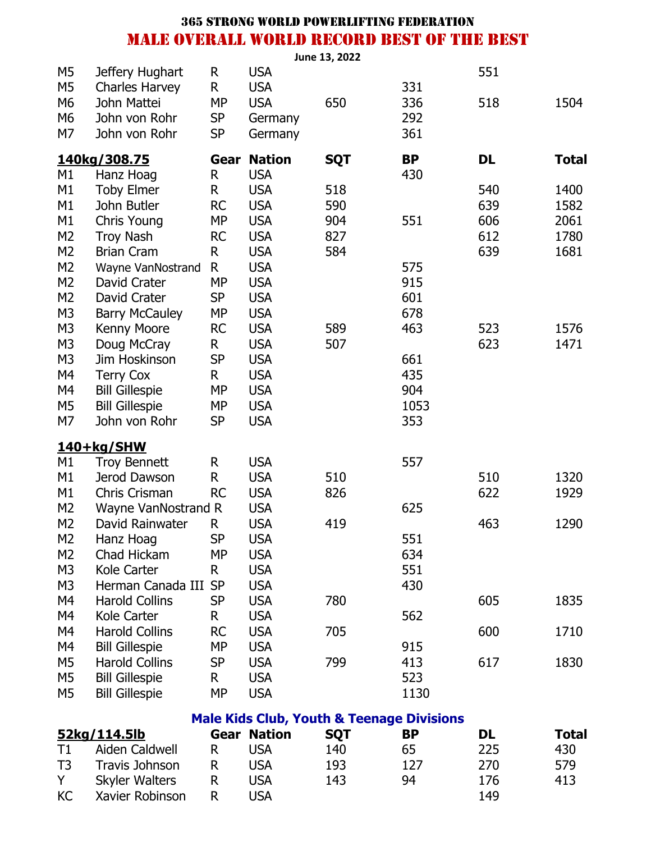|                                  |                                      |                        |                          | June 13, 2022                                        |            |     |              |
|----------------------------------|--------------------------------------|------------------------|--------------------------|------------------------------------------------------|------------|-----|--------------|
| M <sub>5</sub>                   | Jeffery Hughart                      | R                      | <b>USA</b>               |                                                      |            | 551 |              |
| M <sub>5</sub>                   | <b>Charles Harvey</b>                | R                      | <b>USA</b>               |                                                      | 331        |     |              |
| M <sub>6</sub>                   | John Mattei                          | <b>MP</b>              | <b>USA</b>               | 650                                                  | 336        | 518 | 1504         |
| M <sub>6</sub>                   | John von Rohr                        | <b>SP</b>              | Germany                  |                                                      | 292        |     |              |
| M7                               | John von Rohr                        | <b>SP</b>              | Germany                  |                                                      | 361        |     |              |
|                                  | 140kg/308.75                         | Gear                   | <b>Nation</b>            | <b>SQT</b>                                           | <b>BP</b>  | DL  | <b>Total</b> |
| M1                               | Hanz Hoag                            | R                      | <b>USA</b>               |                                                      | 430        |     |              |
| M1                               | <b>Toby Elmer</b>                    | R                      | <b>USA</b>               | 518                                                  |            | 540 | 1400         |
| M1                               | John Butler                          | <b>RC</b>              | <b>USA</b>               | 590                                                  |            | 639 | 1582         |
| M1                               | Chris Young                          | <b>MP</b>              | <b>USA</b>               | 904                                                  | 551        | 606 | 2061         |
| M <sub>2</sub>                   | <b>Troy Nash</b>                     | <b>RC</b>              | <b>USA</b>               | 827                                                  |            | 612 | 1780         |
| M <sub>2</sub>                   | <b>Brian Cram</b>                    | R                      | <b>USA</b>               | 584                                                  |            | 639 | 1681         |
| M <sub>2</sub>                   | Wayne VanNostrand                    | R                      | <b>USA</b>               |                                                      | 575        |     |              |
| M <sub>2</sub>                   | David Crater                         | MP                     | <b>USA</b>               |                                                      | 915        |     |              |
| M <sub>2</sub>                   | David Crater                         | <b>SP</b>              | <b>USA</b>               |                                                      | 601        |     |              |
| M <sub>3</sub><br>M <sub>3</sub> | <b>Barry McCauley</b><br>Kenny Moore | <b>MP</b><br><b>RC</b> | <b>USA</b><br><b>USA</b> | 589                                                  | 678<br>463 | 523 | 1576         |
| M <sub>3</sub>                   | Doug McCray                          | R                      | <b>USA</b>               | 507                                                  |            | 623 | 1471         |
| M <sub>3</sub>                   | Jim Hoskinson                        | <b>SP</b>              | <b>USA</b>               |                                                      | 661        |     |              |
| M4                               | <b>Terry Cox</b>                     | R                      | <b>USA</b>               |                                                      | 435        |     |              |
| M4                               | <b>Bill Gillespie</b>                | <b>MP</b>              | <b>USA</b>               |                                                      | 904        |     |              |
| M <sub>5</sub>                   | <b>Bill Gillespie</b>                | <b>MP</b>              | <b>USA</b>               |                                                      | 1053       |     |              |
| M7                               | John von Rohr                        | <b>SP</b>              | <b>USA</b>               |                                                      | 353        |     |              |
|                                  | 140+kg/SHW                           |                        |                          |                                                      |            |     |              |
| M1                               | <b>Troy Bennett</b>                  | R                      | <b>USA</b>               |                                                      | 557        |     |              |
| M1                               | Jerod Dawson                         | R                      | <b>USA</b>               | 510                                                  |            | 510 | 1320         |
| M1                               | Chris Crisman                        | <b>RC</b>              | <b>USA</b>               | 826                                                  |            | 622 | 1929         |
| M <sub>2</sub>                   | Wayne VanNostrand R                  |                        | <b>USA</b>               |                                                      | 625        |     |              |
| M <sub>2</sub>                   | David Rainwater                      | R                      | <b>USA</b>               | 419                                                  |            | 463 | 1290         |
| M <sub>2</sub>                   | Hanz Hoag                            | SP                     | <b>USA</b>               |                                                      | 551        |     |              |
| M <sub>2</sub>                   | Chad Hickam                          | <b>MP</b>              | <b>USA</b>               |                                                      | 634        |     |              |
| M <sub>3</sub>                   | Kole Carter                          | R.                     | <b>USA</b>               |                                                      | 551        |     |              |
| M <sub>3</sub>                   | Herman Canada III                    | <b>SP</b>              | <b>USA</b>               |                                                      | 430        |     |              |
| M4                               | <b>Harold Collins</b>                | <b>SP</b>              | <b>USA</b>               | 780                                                  |            | 605 | 1835         |
| M4                               | Kole Carter                          | R.                     | <b>USA</b>               |                                                      | 562        |     |              |
| M4                               | <b>Harold Collins</b>                | <b>RC</b>              | <b>USA</b>               | 705                                                  |            | 600 | 1710         |
| M4                               | <b>Bill Gillespie</b>                | <b>MP</b>              | <b>USA</b>               |                                                      | 915        |     |              |
| M <sub>5</sub>                   | <b>Harold Collins</b>                | <b>SP</b>              | <b>USA</b>               | 799                                                  | 413        | 617 | 1830         |
| M <sub>5</sub>                   | <b>Bill Gillespie</b>                | R.                     | <b>USA</b>               |                                                      | 523        |     |              |
| M <sub>5</sub>                   | <b>Bill Gillespie</b>                | <b>MP</b>              | <b>USA</b>               |                                                      | 1130       |     |              |
|                                  |                                      |                        |                          | <b>Male Kids Club, Youth &amp; Teenage Divisions</b> |            |     |              |
|                                  | 52kg/114.5lb                         |                        | <b>Gear Nation</b>       | <b>SQT</b>                                           | BP         | DL  | <b>Total</b> |
| T1                               | Aiden Caldwell                       | R.                     | <b>USA</b>               | 140                                                  | 65         | 225 | 430          |

| T1 | Aiden Caldwell        |   | <b>USA</b> | 140 | 65  | 225 | 430 |
|----|-----------------------|---|------------|-----|-----|-----|-----|
| T3 | Travis Johnson        |   | <b>USA</b> | 193 | 127 | 270 | 579 |
| Y  | <b>Skyler Walters</b> | R | USA        | 143 | 94  | 176 | 413 |
| KC | Xavier Robinson       |   | <b>USA</b> |     |     | 149 |     |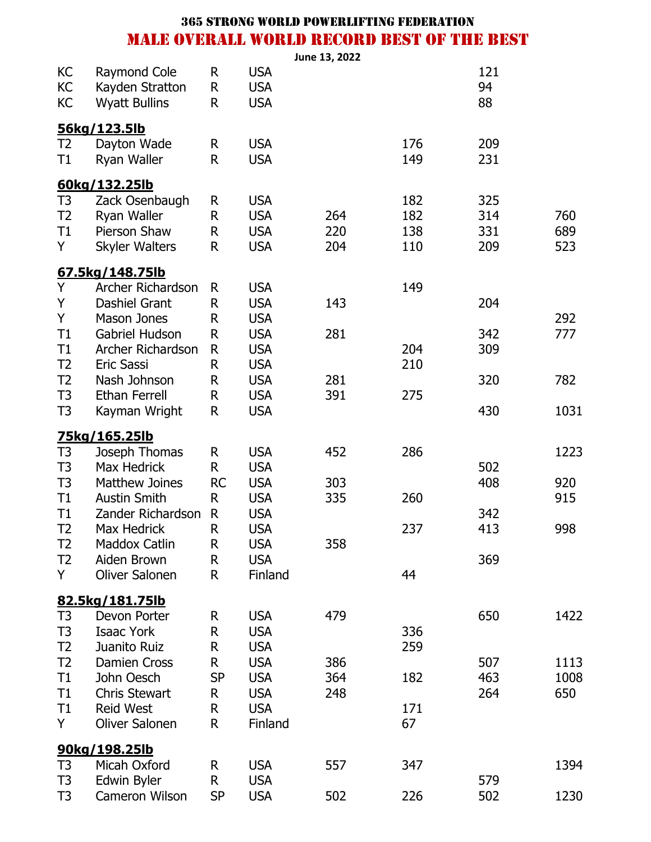|                                  |                                                         |                       |                                        | June 13, 2022 |            |                 |            |
|----------------------------------|---------------------------------------------------------|-----------------------|----------------------------------------|---------------|------------|-----------------|------------|
| KC<br>KC<br>KC                   | Raymond Cole<br>Kayden Stratton<br><b>Wyatt Bullins</b> | R<br>$\mathsf R$<br>R | <b>USA</b><br><b>USA</b><br><b>USA</b> |               |            | 121<br>94<br>88 |            |
|                                  | 56kg/123.5lb                                            |                       |                                        |               |            |                 |            |
| T2<br>T1                         | Dayton Wade<br>Ryan Waller                              | R<br>R                | <b>USA</b><br><b>USA</b>               |               | 176<br>149 | 209<br>231      |            |
|                                  | 60kg/132.25lb                                           |                       |                                        |               |            |                 |            |
| T <sub>3</sub>                   | Zack Osenbaugh                                          | R                     | <b>USA</b>                             |               | 182        | 325             |            |
| T <sub>2</sub>                   | Ryan Waller                                             | R                     | <b>USA</b>                             | 264           | 182        | 314             | 760        |
| T1<br>Y                          | Pierson Shaw<br>Skyler Walters                          | R<br>R                | <b>USA</b><br><b>USA</b>               | 220<br>204    | 138<br>110 | 331<br>209      | 689<br>523 |
|                                  |                                                         |                       |                                        |               |            |                 |            |
|                                  | 67.5kg/148.75lb                                         |                       |                                        |               |            |                 |            |
| Υ<br>Υ                           | Archer Richardson<br><b>Dashiel Grant</b>               | R<br>R                | <b>USA</b><br><b>USA</b>               | 143           | 149        | 204             |            |
| Y                                | <b>Mason Jones</b>                                      | R                     | <b>USA</b>                             |               |            |                 | 292        |
| T1                               | <b>Gabriel Hudson</b>                                   | R                     | <b>USA</b>                             | 281           |            | 342             | 777        |
| T1                               | Archer Richardson                                       | R                     | <b>USA</b>                             |               | 204        | 309             |            |
| T <sub>2</sub>                   | <b>Eric Sassi</b>                                       | R                     | <b>USA</b>                             |               | 210        |                 |            |
| T <sub>2</sub>                   | Nash Johnson                                            | R                     | <b>USA</b>                             | 281           |            | 320             | 782        |
| T <sub>3</sub><br>T <sub>3</sub> | <b>Ethan Ferrell</b><br>Kayman Wright                   | R<br>R                | <b>USA</b><br><b>USA</b>               | 391           | 275        | 430             | 1031       |
|                                  |                                                         |                       |                                        |               |            |                 |            |
| T <sub>3</sub>                   | <u>75kg/165.25lb</u><br>Joseph Thomas                   | R                     | <b>USA</b>                             | 452           | 286        |                 | 1223       |
| T <sub>3</sub>                   | Max Hedrick                                             | R                     | <b>USA</b>                             |               |            | 502             |            |
| T <sub>3</sub>                   | <b>Matthew Joines</b>                                   | <b>RC</b>             | <b>USA</b>                             | 303           |            | 408             | 920        |
| T1                               | <b>Austin Smith</b>                                     | R                     | <b>USA</b>                             | 335           | 260        |                 | 915        |
| T1                               | Zander Richardson                                       | $\mathsf{R}$          | <b>USA</b>                             |               |            | 342             |            |
| T <sub>2</sub>                   | <b>Max Hedrick</b>                                      | R                     | <b>USA</b>                             |               | 237        | 413             | 998        |
| T <sub>2</sub><br>T <sub>2</sub> | <b>Maddox Catlin</b><br>Aiden Brown                     | R<br>R                | <b>USA</b><br><b>USA</b>               | 358           |            | 369             |            |
| Y                                | <b>Oliver Salonen</b>                                   | R                     | Finland                                |               | 44         |                 |            |
|                                  |                                                         |                       |                                        |               |            |                 |            |
| T <sub>3</sub>                   | 82.5kg/181.75lb<br>Devon Porter                         | R                     | <b>USA</b>                             | 479           |            | 650             | 1422       |
| T <sub>3</sub>                   | <b>Isaac York</b>                                       | R                     | <b>USA</b>                             |               | 336        |                 |            |
| T <sub>2</sub>                   | Juanito Ruiz                                            | R                     | <b>USA</b>                             |               | 259        |                 |            |
| T <sub>2</sub>                   | <b>Damien Cross</b>                                     | R                     | <b>USA</b>                             | 386           |            | 507             | 1113       |
| T1                               | John Oesch                                              | <b>SP</b>             | <b>USA</b>                             | 364           | 182        | 463             | 1008       |
| T1<br>T1                         | <b>Chris Stewart</b><br><b>Reid West</b>                | R                     | <b>USA</b><br><b>USA</b>               | 248           | 171        | 264             | 650        |
| Y                                | <b>Oliver Salonen</b>                                   | R<br>R                | Finland                                |               | 67         |                 |            |
|                                  |                                                         |                       |                                        |               |            |                 |            |
| T <sub>3</sub>                   | 90kg/198.25lb<br>Micah Oxford                           | R                     | <b>USA</b>                             | 557           | 347        |                 | 1394       |
| T <sub>3</sub>                   | Edwin Byler                                             | R                     | <b>USA</b>                             |               |            | 579             |            |
| T <sub>3</sub>                   | Cameron Wilson                                          | SP                    | <b>USA</b>                             | 502           | 226        | 502             | 1230       |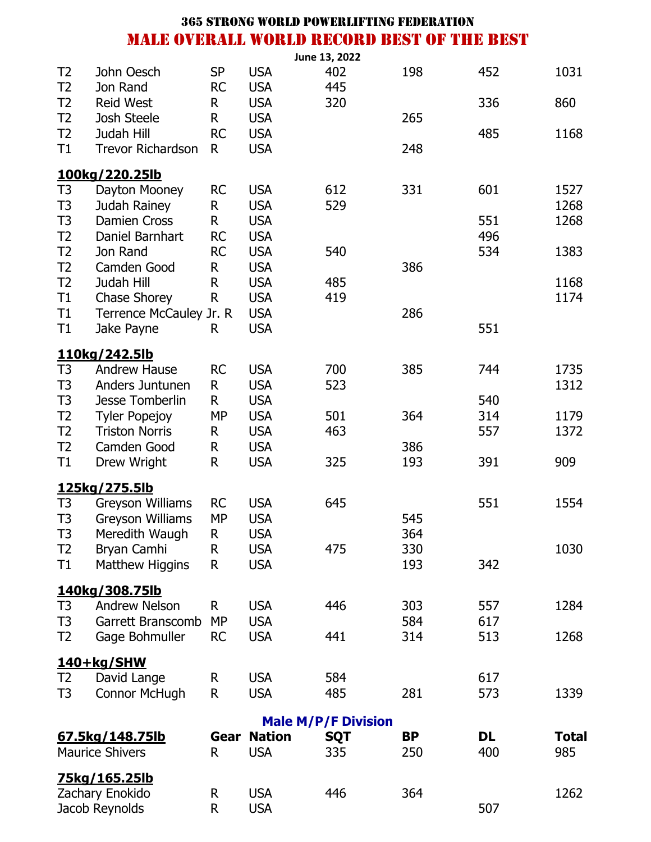|                |                                     |           |                          | June 13, 2022              |           |            |              |
|----------------|-------------------------------------|-----------|--------------------------|----------------------------|-----------|------------|--------------|
| T <sub>2</sub> | John Oesch                          | <b>SP</b> | <b>USA</b>               | 402                        | 198       | 452        | 1031         |
| T <sub>2</sub> | Jon Rand                            | <b>RC</b> | <b>USA</b>               | 445                        |           |            |              |
| T <sub>2</sub> | <b>Reid West</b>                    | R         | <b>USA</b>               | 320                        |           | 336        | 860          |
| T <sub>2</sub> | <b>Josh Steele</b>                  | R         | <b>USA</b>               |                            | 265       |            |              |
| T <sub>2</sub> | Judah Hill                          | <b>RC</b> | <b>USA</b>               |                            |           | 485        | 1168         |
| T1             | <b>Trevor Richardson</b>            | R         | <b>USA</b>               |                            | 248       |            |              |
|                | 100kg/220.25lb                      |           |                          |                            |           |            |              |
| T <sub>3</sub> | Dayton Mooney                       | <b>RC</b> | <b>USA</b>               | 612                        | 331       | 601        | 1527         |
| T <sub>3</sub> | Judah Rainey                        | R         | <b>USA</b>               | 529                        |           |            | 1268         |
| T <sub>3</sub> | <b>Damien Cross</b>                 | R         | <b>USA</b>               |                            |           | 551        | 1268         |
| T <sub>2</sub> | Daniel Barnhart                     | <b>RC</b> | <b>USA</b>               |                            |           | 496        |              |
| T <sub>2</sub> | Jon Rand                            | <b>RC</b> | <b>USA</b>               | 540                        |           | 534        | 1383         |
| T <sub>2</sub> | Camden Good                         | R         | <b>USA</b>               |                            | 386       |            |              |
| T <sub>2</sub> | Judah Hill                          | R         | <b>USA</b>               | 485                        |           |            | 1168         |
| T1             | Chase Shorey                        | R         | <b>USA</b>               | 419                        |           |            | 1174         |
| T1             | Terrence McCauley Jr. R             |           | <b>USA</b>               |                            | 286       |            |              |
| T1             | Jake Payne                          | R         | <b>USA</b>               |                            |           | 551        |              |
|                | 110kg/242.5lb                       |           |                          |                            |           |            |              |
| T <sub>3</sub> | <b>Andrew Hause</b>                 | <b>RC</b> | <b>USA</b>               | 700                        | 385       | 744        | 1735         |
| T <sub>3</sub> | Anders Juntunen                     | R.        | <b>USA</b>               | 523                        |           |            | 1312         |
| T <sub>3</sub> | <b>Jesse Tomberlin</b>              | R.        | <b>USA</b>               |                            |           | 540        |              |
| T <sub>2</sub> | <b>Tyler Popejoy</b>                | <b>MP</b> | <b>USA</b>               | 501                        | 364       | 314        | 1179         |
| T <sub>2</sub> | <b>Triston Norris</b>               | R.        | <b>USA</b>               | 463                        |           | 557        | 1372         |
| T <sub>2</sub> | Camden Good                         | R         | <b>USA</b>               |                            | 386       |            |              |
| T1             | Drew Wright                         | R         | <b>USA</b>               | 325                        | 193       | 391        | 909          |
|                | 125kg/275.5lb                       |           |                          |                            |           |            |              |
| T <sub>3</sub> | <b>Greyson Williams</b>             | <b>RC</b> | <b>USA</b>               | 645                        |           | 551        | 1554         |
| T <sub>3</sub> | <b>Greyson Williams</b>             | <b>MP</b> | <b>USA</b>               |                            | 545       |            |              |
| T3             | Meredith Waugh                      | R         | <b>USA</b>               |                            | 364       |            |              |
| T <sub>2</sub> | Bryan Camhi                         | R         | <b>USA</b>               | 475                        | 330       |            | 1030         |
| T1             | Matthew Higgins                     | R         | <b>USA</b>               |                            | 193       | 342        |              |
|                | 140kg/308.75lb                      |           |                          |                            |           |            |              |
| T <sub>3</sub> | <b>Andrew Nelson</b>                | R         | <b>USA</b>               | 446                        | 303       | 557        | 1284         |
| T <sub>3</sub> | Garrett Branscomb                   | <b>MP</b> | <b>USA</b>               |                            | 584       | 617        |              |
| T <sub>2</sub> | Gage Bohmuller                      | <b>RC</b> | <b>USA</b>               | 441                        | 314       | 513        | 1268         |
|                |                                     |           |                          |                            |           |            |              |
| T <sub>2</sub> | 140+kg/SHW                          |           |                          | 584                        |           |            |              |
| T <sub>3</sub> | David Lange<br><b>Connor McHugh</b> | R<br>R    | <b>USA</b><br><b>USA</b> | 485                        | 281       | 617<br>573 |              |
|                |                                     |           |                          |                            |           |            | 1339         |
|                |                                     |           |                          | <b>Male M/P/F Division</b> |           |            |              |
|                | 67.5kg/148.75lb                     | Gear      | <b>Nation</b>            | <b>SQT</b>                 | <b>BP</b> | <b>DL</b>  | <b>Total</b> |
|                | <b>Maurice Shivers</b>              | R.        | <b>USA</b>               | 335                        | 250       | 400        | 985          |
|                | <u>75kg/165.25lb</u>                |           |                          |                            |           |            |              |
|                | Zachary Enokido                     | R         | <b>USA</b>               | 446                        | 364       |            | 1262         |
|                | Jacob Reynolds                      | R         | <b>USA</b>               |                            |           | 507        |              |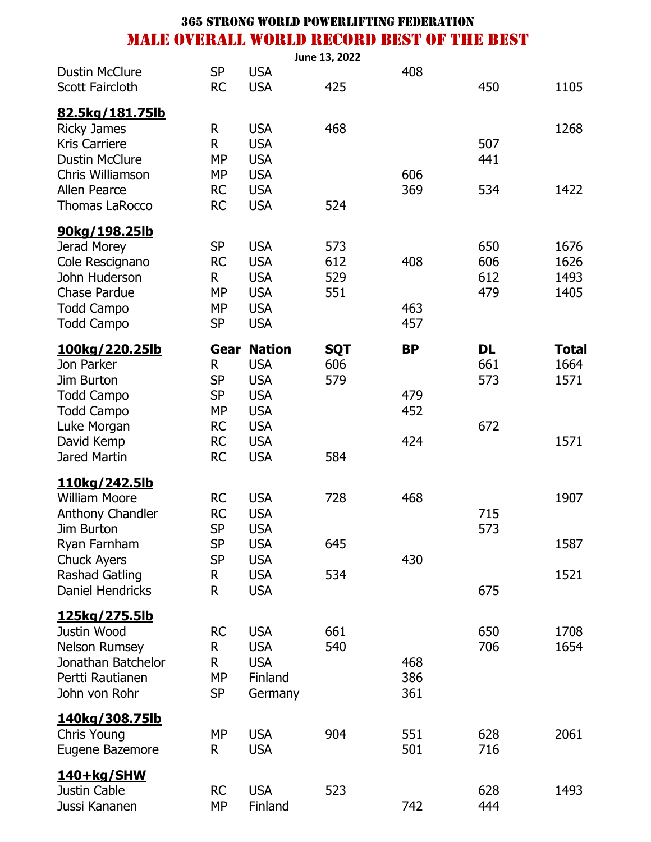|                                                                                                                                                            |                                                                                          |                                                                                                                 | June 13, 2022                   |                                |                                |                                      |
|------------------------------------------------------------------------------------------------------------------------------------------------------------|------------------------------------------------------------------------------------------|-----------------------------------------------------------------------------------------------------------------|---------------------------------|--------------------------------|--------------------------------|--------------------------------------|
| <b>Dustin McClure</b><br>Scott Faircloth                                                                                                                   | <b>SP</b><br><b>RC</b>                                                                   | <b>USA</b><br><b>USA</b>                                                                                        | 425                             | 408                            | 450                            | 1105                                 |
| 82.5kg/181.75lb<br><b>Ricky James</b><br><b>Kris Carriere</b><br><b>Dustin McClure</b><br>Chris Williamson<br><b>Allen Pearce</b><br><b>Thomas LaRocco</b> | R<br>R<br><b>MP</b><br><b>MP</b><br><b>RC</b><br><b>RC</b>                               | <b>USA</b><br><b>USA</b><br><b>USA</b><br><b>USA</b><br><b>USA</b><br><b>USA</b>                                | 468<br>524                      | 606<br>369                     | 507<br>441<br>534              | 1268<br>1422                         |
| 90kg/198.25lb<br>Jerad Morey<br>Cole Rescignano<br>John Huderson<br><b>Chase Pardue</b><br><b>Todd Campo</b><br><b>Todd Campo</b>                          | <b>SP</b><br><b>RC</b><br>R<br><b>MP</b><br><b>MP</b><br><b>SP</b>                       | <b>USA</b><br><b>USA</b><br><b>USA</b><br><b>USA</b><br><b>USA</b><br><b>USA</b>                                | 573<br>612<br>529<br>551        | 408<br>463<br>457              | 650<br>606<br>612<br>479       | 1676<br>1626<br>1493<br>1405         |
| <u>100kg/220.25lb</u><br>Jon Parker<br>Jim Burton<br><b>Todd Campo</b><br><b>Todd Campo</b><br>Luke Morgan<br>David Kemp<br>Jared Martin                   | Gear<br>R.<br><b>SP</b><br><b>SP</b><br><b>MP</b><br><b>RC</b><br><b>RC</b><br><b>RC</b> | <b>Nation</b><br><b>USA</b><br><b>USA</b><br><b>USA</b><br><b>USA</b><br><b>USA</b><br><b>USA</b><br><b>USA</b> | <b>SQT</b><br>606<br>579<br>584 | <b>BP</b><br>479<br>452<br>424 | <b>DL</b><br>661<br>573<br>672 | <b>Total</b><br>1664<br>1571<br>1571 |
| 110kg/242.5lb<br><b>William Moore</b><br>Anthony Chandler<br>Jim Burton<br>Ryan Farnham<br><b>Chuck Ayers</b><br>Rashad Gatling<br><b>Daniel Hendricks</b> | <b>RC</b><br><b>RC</b><br><b>SP</b><br><b>SP</b><br><b>SP</b><br>R.<br>R                 | <b>USA</b><br><b>USA</b><br><b>USA</b><br><b>USA</b><br><b>USA</b><br><b>USA</b><br><b>USA</b>                  | 728<br>645<br>534               | 468<br>430                     | 715<br>573<br>675              | 1907<br>1587<br>1521                 |
| <u>125kg/275.5lb</u><br>Justin Wood<br><b>Nelson Rumsey</b><br>Jonathan Batchelor<br>Pertti Rautianen<br>John von Rohr                                     | <b>RC</b><br>R<br>R.<br><b>MP</b><br><b>SP</b>                                           | <b>USA</b><br><b>USA</b><br><b>USA</b><br>Finland<br>Germany                                                    | 661<br>540                      | 468<br>386<br>361              | 650<br>706                     | 1708<br>1654                         |
| <u>140kg/308.75lb</u><br>Chris Young<br>Eugene Bazemore                                                                                                    | <b>MP</b><br>R                                                                           | <b>USA</b><br><b>USA</b>                                                                                        | 904                             | 551<br>501                     | 628<br>716                     | 2061                                 |
| <u>140+kg/SHW</u><br>Justin Cable<br>Jussi Kananen                                                                                                         | <b>RC</b><br><b>MP</b>                                                                   | <b>USA</b><br>Finland                                                                                           | 523                             | 742                            | 628<br>444                     | 1493                                 |